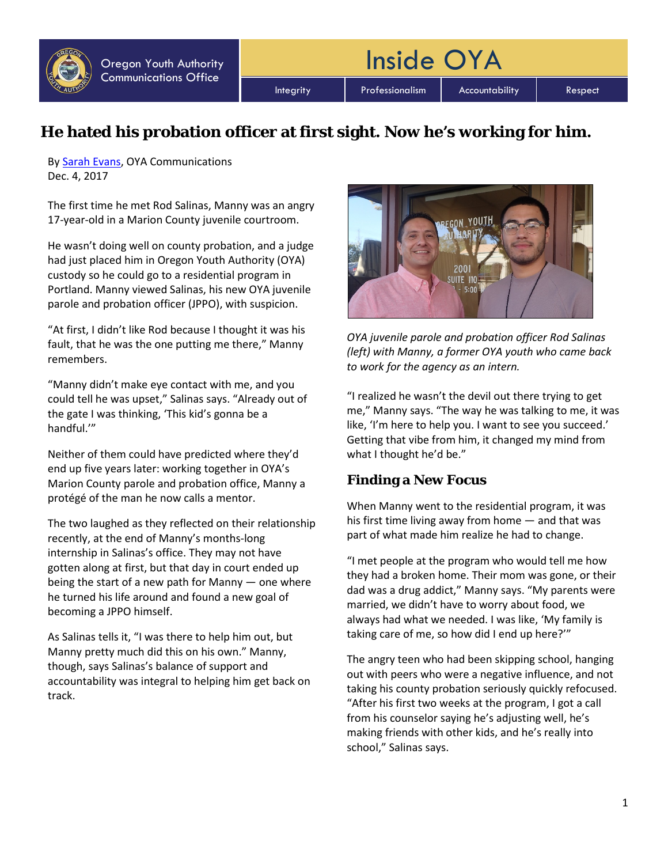

Integrity | Professionalism | Accountability | Respect

Inside OYA

## **He hated his probation officer at first sight. Now he's working for him.**

By [Sarah Evans,](mailto:sarah.j.evans@oya.state.or.us) OYA Communications Dec. 4, 2017

The first time he met Rod Salinas, Manny was an angry 17-year-old in a Marion County juvenile courtroom.

He wasn't doing well on county probation, and a judge had just placed him in Oregon Youth Authority (OYA) custody so he could go to a residential program in Portland. Manny viewed Salinas, his new OYA juvenile parole and probation officer (JPPO), with suspicion.

"At first, I didn't like Rod because I thought it was his fault, that he was the one putting me there," Manny remembers.

"Manny didn't make eye contact with me, and you could tell he was upset," Salinas says. "Already out of the gate I was thinking, 'This kid's gonna be a handful.'"

Neither of them could have predicted where they'd end up five years later: working together in OYA's Marion County parole and probation office, Manny a protégé of the man he now calls a mentor.

The two laughed as they reflected on their relationship recently, at the end of Manny's months-long internship in Salinas's office. They may not have gotten along at first, but that day in court ended up being the start of a new path for Manny — one where he turned his life around and found a new goal of becoming a JPPO himself.

As Salinas tells it, "I was there to help him out, but Manny pretty much did this on his own." Manny, though, says Salinas's balance of support and accountability was integral to helping him get back on track.



*OYA juvenile parole and probation officer Rod Salinas (left) with Manny, a former OYA youth who came back to work for the agency as an intern.*

"I realized he wasn't the devil out there trying to get me," Manny says. "The way he was talking to me, it was like, 'I'm here to help you. I want to see you succeed.' Getting that vibe from him, it changed my mind from what I thought he'd be."

## **Finding a New Focus**

When Manny went to the residential program, it was his first time living away from home — and that was part of what made him realize he had to change.

"I met people at the program who would tell me how they had a broken home. Their mom was gone, or their dad was a drug addict," Manny says. "My parents were married, we didn't have to worry about food, we always had what we needed. I was like, 'My family is taking care of me, so how did I end up here?'"

The angry teen who had been skipping school, hanging out with peers who were a negative influence, and not taking his county probation seriously quickly refocused. "After his first two weeks at the program, I got a call from his counselor saying he's adjusting well, he's making friends with other kids, and he's really into school," Salinas says.